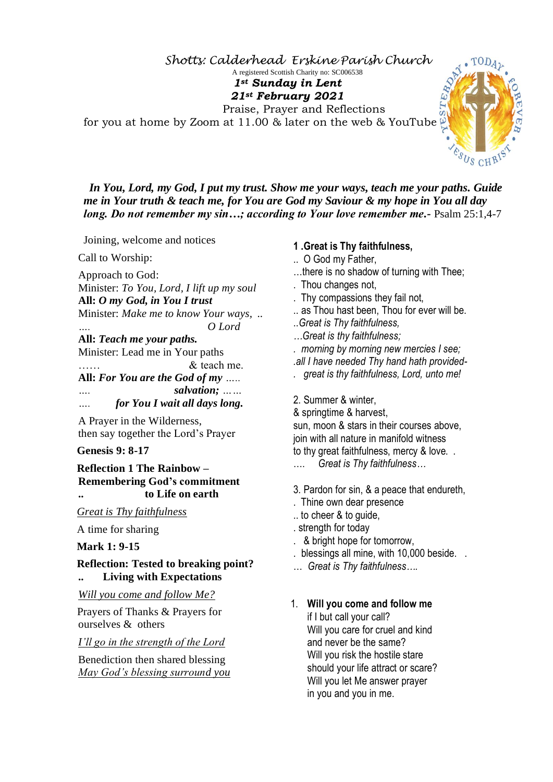*Shotts: Calderhead Erskine Parish Church* 

A registered Scottish Charity no: SC006538 *1st Sunday in Lent 21st February 2021*

 Praise, Prayer and Reflections for you at home by Zoom at 11.00 & later on the web & YouTube



 *In You, Lord, my God, I put my trust. Show me your ways, teach me your paths. Guide me in Your truth & teach me, for You are God my Saviour & my hope in You all day long. Do not remember my sin…; according to Your love remember me.-* Psalm 25:1,4-7

Joining, welcome and notices

Call to Worship:

Approach to God: Minister: *To You, Lord, I lift up my soul* **All:** *O my God, in You I trust*  Minister: *Make me to know Your ways, ..* 

*…. O Lord*

**All:** *Teach me your paths.* Minister: Lead me in Your paths …… & teach me.

**All:** *For You are the God of my ….. …. salvation; …… …. for You I wait all days long.*

A Prayer in the Wilderness, then say together the Lord's Prayer

 **Genesis 9: 8-17**

 **Reflection 1 The Rainbow – Remembering God's commitment .. to Life on earth** 

*Great is Thy faithfulness*

A time for sharing

**Mark 1: 9-15**

## **Reflection: Tested to breaking point? .. Living with Expectations**

*Will you come and follow Me?*

 Prayers of Thanks & Prayers for ourselves & others

*I'll go in the strength of the Lord*

Benediction then shared blessing *May God's blessing surround you* 

## **1 .Great is Thy faithfulness,**

- .. O God my Father,
- …there is no shadow of turning with Thee;
- . Thou changes not,
- . Thy compassions they fail not,
- .. as Thou hast been, Thou for ever will be.
- ..*Great is Thy faithfulness,*
- *…Great is thy faithfulness;*
- *. morning by morning new mercies I see;*
- *.all I have needed Thy hand hath provided-*
- *. great is thy faithfulness, Lord, unto me!*

2. Summer & winter,

& springtime & harvest,

sun, moon & stars in their courses above, join with all nature in manifold witness to thy great faithfulness, mercy & love. . …. *Great is Thy faithfulness…*

3. Pardon for sin, & a peace that endureth,

- . Thine own dear presence
- .. to cheer & to guide,
- . strength for today
- . & bright hope for tomorrow,
- . blessings all mine, with 10,000 beside. .
- … *Great is Thy faithfulness….*
- 1. **Will you come and follow me**

if I but call your call? Will you care for cruel and kind and never be the same? Will you risk the hostile stare should your life attract or scare? Will you let Me answer prayer in you and you in me.